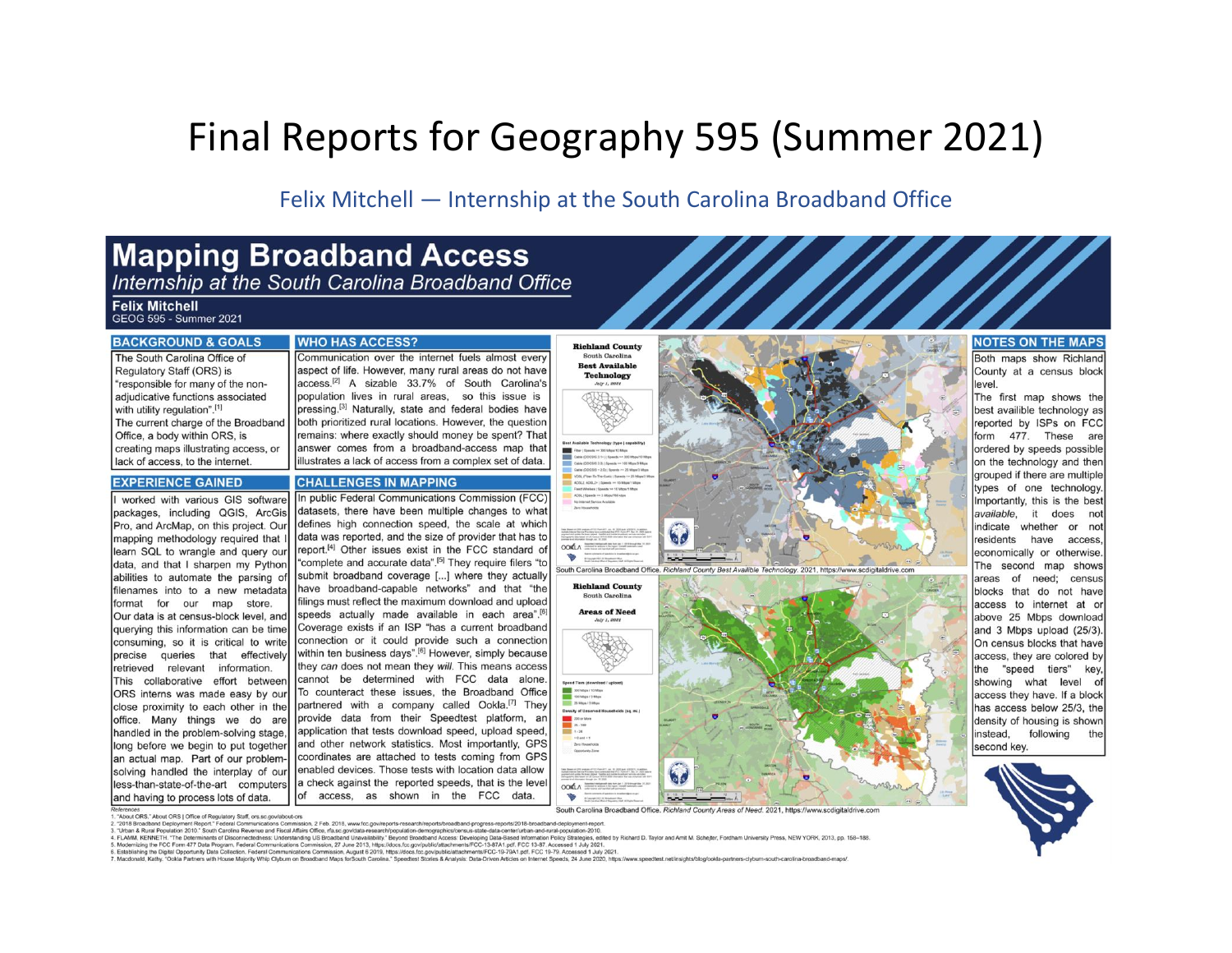## Final Reports for Geography 595 (Summer 2021)

Felix Mitchell - Internship at the South Carolina Broadband Office

# **Mapping Broadband Access**<br>Internship at the South Carolina Broadband Office

### **Felix Mitchell**

GEOG 595 - Summer 2021

"responsible for many of the non-

adjudicative functions associated

The current charge of the Broadband

creating maps illustrating access, or

with utility regulation".[1]

#### **BACKGROUND & GOALS WHO HAS ACCESS?** The South Carolina Office of Communication over the internet fuels almost every aspect of life. However, many rural areas do not have Regulatory Staff (ORS) is

access.<sup>[2]</sup> A sizable 33.7% of South Carolina's population lives in rural areas, so this issue is pressing.<sup>[3]</sup> Naturally, state and federal bodies have both prioritized rural locations. However, the question remains: where exactly should money be spent? That answer comes from a broadband-access map that illustrates a lack of access from a complex set of data.

### lack of access, to the internet. **EXPERIENCE GAINED**

Office, a body within ORS, is

**CHALLENGES IN MAPPING** In public Federal Communications Commission (FCC) worked with various GIS software packages, including QGIS, ArcGis datasets, there have been multiple changes to what defines high connection speed, the scale at which Pro, and ArcMap, on this project. Our data was reported, and the size of provider that has to mapping methodology required that I report.<sup>[4]</sup> Other issues exist in the FCC standard of learn SQL to wrangle and query our "complete and accurate data".<sup>[5]</sup> They require filers "to data, and that I sharpen my Python submit broadband coverage [...] where they actually abilities to automate the parsing of have broadband-capable networks" and that "the filenames into to a new metadata filings must reflect the maximum download and upload format for our map store. speeds actually made available in each area".[6] Our data is at census-block level, and Coverage exists if an ISP "has a current broadband querving this information can be time connection or it could provide such a connection consuming, so it is critical to write within ten business days".<sup>[6]</sup> However, simply because precise queries that effectively they can does not mean they will. This means access retrieved relevant information. cannot be determined with FCC data alone. This collaborative effort between ORS interns was made easy by our To counteract these issues, the Broadband Office partnered with a company called Ookla.<sup>[7]</sup> They close proximity to each other in the provide data from their Speedtest platform, an office. Many things we do are application that tests download speed, upload speed, handled in the problem-solving stage, and other network statistics. Most importantly, GPS long before we begin to put together coordinates are attached to tests coming from GPS an actual map. Part of our problemenabled devices. Those tests with location data allow solving handled the interplay of our a check against the reported speeds, that is the level less-than-state-of-the-art computers access, as shown in the FCC data. **of** and having to process lots of data.



South Carolina Broadband Office. Richland County Areas of Need. 2021, https://www.scdigitaldrive.co

#### erences<br>'About ORS.' About ORS | Office of Regulatory Staff, ors.sc.gov/about-ors 2. "2018 Broadband Deployment Report." Federal Communications Commission, 2 Feb. 2018, www.fcc.go

3. "Urban & Rural Population 2010." South Carolina Revenue and Fiscal Affairs Office, rfa.sc.govidata-research/population-demographics/census-state-data-center/urban-and-rural-population-2010

- 
- o. Unture to a Kina Populani avoir count out on the math was the destand of US Broadbard Maximal Subsection Bernand Access Developing Data-Based Information Peticy Stradegies, edited by Richard D. Taylor and Amit M. Schel

v

### **NOTES ON THE MAPS**

Both maps show Richland County at a census block level

The first map shows the best availible technology as reported by ISPs on FCC form 477. These are ordered by speeds possible on the technology and then grouped if there are multiple types of one technology. Importantly, this is the best available, it does not indicate whether or not residents have access economically or otherwise. The second map shows areas of need; census blocks that do not have access to internet at or above 25 Mbps download and 3 Mbps upload (25/3). On census blocks that have access, they are colored by the "speed tiers" kev. showing what level of access they have. If a block has access below 25/3, the density of housing is shown instead, following the second key.